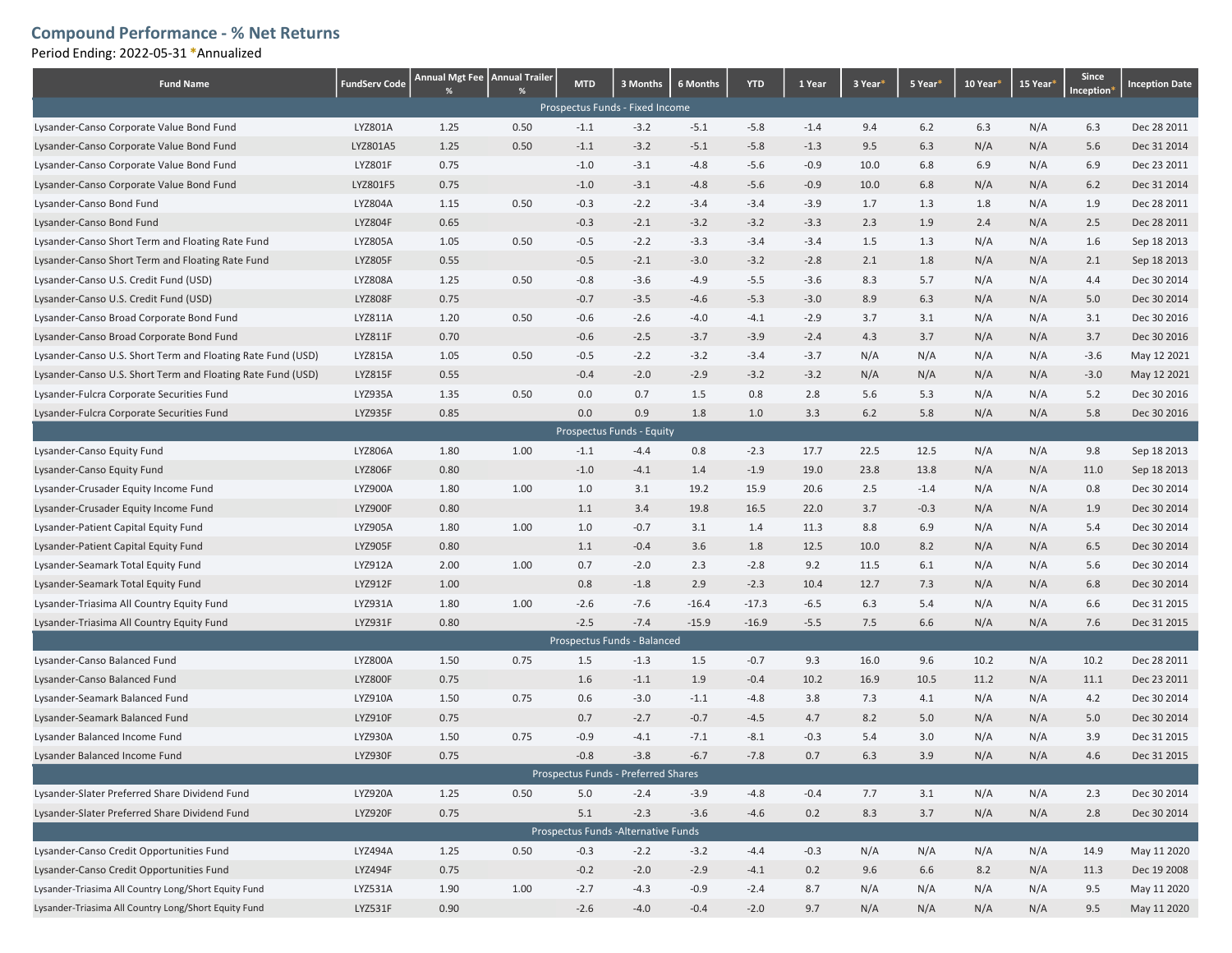## Compound Performance - % Net Returns

Period Ending: 2022-05-31 \*Annualized

| <b>Fund Name</b>                                            | <b>FundServ Code</b> | Annual Mgt Fee   Annual Trailer | %    | <b>MTD</b> | 3 Months                             | 6 Months | <b>YTD</b> | 1 Year | 3 Year <sup>*</sup> | 5 Year <sup>*</sup> | 10 Year <sup>®</sup> | 15 Year <sup>®</sup> | Since<br>Inception <sup>*</sup> | <b>Inception Date</b> |
|-------------------------------------------------------------|----------------------|---------------------------------|------|------------|--------------------------------------|----------|------------|--------|---------------------|---------------------|----------------------|----------------------|---------------------------------|-----------------------|
| Prospectus Funds - Fixed Income                             |                      |                                 |      |            |                                      |          |            |        |                     |                     |                      |                      |                                 |                       |
| Lysander-Canso Corporate Value Bond Fund                    | LYZ801A              | 1.25                            | 0.50 | $-1.1$     | $-3.2$                               | $-5.1$   | $-5.8$     | $-1.4$ | 9.4                 | $6.2$               | 6.3                  | N/A                  | 6.3                             | Dec 28 2011           |
| Lysander-Canso Corporate Value Bond Fund                    | LYZ801A5             | 1.25                            | 0.50 | $-1.1$     | $-3.2$                               | $-5.1$   | $-5.8$     | $-1.3$ | 9.5                 | 6.3                 | N/A                  | N/A                  | 5.6                             | Dec 31 2014           |
| Lysander-Canso Corporate Value Bond Fund                    | LYZ801F              | 0.75                            |      | $-1.0$     | $-3.1$                               | $-4.8$   | $-5.6$     | $-0.9$ | 10.0                | 6.8                 | 6.9                  | N/A                  | 6.9                             | Dec 23 2011           |
| Lysander-Canso Corporate Value Bond Fund                    | LYZ801F5             | 0.75                            |      | $-1.0$     | $-3.1$                               | $-4.8$   | $-5.6$     | $-0.9$ | 10.0                | 6.8                 | N/A                  | N/A                  | $6.2$                           | Dec 31 2014           |
| Lysander-Canso Bond Fund                                    | LYZ804A              | 1.15                            | 0.50 | $-0.3$     | $-2.2$                               | $-3.4$   | $-3.4$     | $-3.9$ | 1.7                 | 1.3                 | 1.8                  | N/A                  | 1.9                             | Dec 28 2011           |
| Lysander-Canso Bond Fund                                    | <b>LYZ804F</b>       | 0.65                            |      | $-0.3$     | $-2.1$                               | $-3.2$   | $-3.2$     | $-3.3$ | 2.3                 | 1.9                 | 2.4                  | N/A                  | 2.5                             | Dec 28 2011           |
| Lysander-Canso Short Term and Floating Rate Fund            | <b>LYZ805A</b>       | 1.05                            | 0.50 | $-0.5$     | $-2.2$                               | $-3.3$   | $-3.4$     | $-3.4$ | 1.5                 | 1.3                 | N/A                  | N/A                  | 1.6                             | Sep 18 2013           |
| Lysander-Canso Short Term and Floating Rate Fund            | <b>LYZ805F</b>       | 0.55                            |      | $-0.5$     | $-2.1$                               | $-3.0$   | $-3.2$     | $-2.8$ | 2.1                 | 1.8                 | N/A                  | N/A                  | 2.1                             | Sep 18 2013           |
| Lysander-Canso U.S. Credit Fund (USD)                       | <b>LYZ808A</b>       | 1.25                            | 0.50 | $-0.8$     | $-3.6$                               | $-4.9$   | $-5.5$     | $-3.6$ | 8.3                 | 5.7                 | N/A                  | N/A                  | 4.4                             | Dec 30 2014           |
| Lysander-Canso U.S. Credit Fund (USD)                       | <b>LYZ808F</b>       | 0.75                            |      | $-0.7$     | $-3.5$                               | $-4.6$   | $-5.3$     | $-3.0$ | 8.9                 | 6.3                 | N/A                  | N/A                  | 5.0                             | Dec 30 2014           |
| Lysander-Canso Broad Corporate Bond Fund                    | LYZ811A              | 1.20                            | 0.50 | $-0.6$     | $-2.6$                               | $-4.0$   | $-4.1$     | $-2.9$ | 3.7                 | 3.1                 | N/A                  | N/A                  | 3.1                             | Dec 30 2016           |
| Lysander-Canso Broad Corporate Bond Fund                    | LYZ811F              | 0.70                            |      | $-0.6$     | $-2.5$                               | $-3.7$   | $-3.9$     | $-2.4$ | 4.3                 | 3.7                 | N/A                  | N/A                  | 3.7                             | Dec 30 2016           |
| Lysander-Canso U.S. Short Term and Floating Rate Fund (USD) | <b>LYZ815A</b>       | 1.05                            | 0.50 | $-0.5$     | $-2.2$                               | $-3.2$   | $-3.4$     | $-3.7$ | N/A                 | N/A                 | N/A                  | N/A                  | $-3.6$                          | May 12 2021           |
| Lysander-Canso U.S. Short Term and Floating Rate Fund (USD) | <b>LYZ815F</b>       | 0.55                            |      | $-0.4$     | $-2.0$                               | $-2.9$   | $-3.2$     | $-3.2$ | N/A                 | N/A                 | N/A                  | N/A                  | $-3.0$                          | May 12 2021           |
| Lysander-Fulcra Corporate Securities Fund                   | LYZ935A              | 1.35                            | 0.50 | 0.0        | 0.7                                  | 1.5      | 0.8        | 2.8    | 5.6                 | 5.3                 | N/A                  | N/A                  | 5.2                             | Dec 30 2016           |
| Lysander-Fulcra Corporate Securities Fund                   | <b>LYZ935F</b>       | 0.85                            |      | 0.0        | 0.9                                  | 1.8      | 1.0        | 3.3    | 6.2                 | 5.8                 | N/A                  | N/A                  | 5.8                             | Dec 30 2016           |
|                                                             |                      |                                 |      |            | Prospectus Funds - Equity            |          |            |        |                     |                     |                      |                      |                                 |                       |
| Lysander-Canso Equity Fund                                  | <b>LYZ806A</b>       | 1.80                            | 1.00 | $-1.1$     | $-4.4$                               | 0.8      | $-2.3$     | 17.7   | 22.5                | 12.5                | N/A                  | N/A                  | 9.8                             | Sep 18 2013           |
| Lysander-Canso Equity Fund                                  | <b>LYZ806F</b>       | 0.80                            |      | $-1.0$     | $-4.1$                               | 1.4      | $-1.9$     | 19.0   | 23.8                | 13.8                | N/A                  | N/A                  | 11.0                            | Sep 18 2013           |
| Lysander-Crusader Equity Income Fund                        | LYZ900A              | 1.80                            | 1.00 | 1.0        | 3.1                                  | 19.2     | 15.9       | 20.6   | 2.5                 | $-1.4$              | N/A                  | N/A                  | 0.8                             | Dec 30 2014           |
| Lysander-Crusader Equity Income Fund                        | LYZ900F              | 0.80                            |      | 1.1        | 3.4                                  | 19.8     | 16.5       | 22.0   | 3.7                 | $-0.3$              | N/A                  | N/A                  | 1.9                             | Dec 30 2014           |
| Lysander-Patient Capital Equity Fund                        | <b>LYZ905A</b>       | 1.80                            | 1.00 | 1.0        | $-0.7$                               | 3.1      | 1.4        | 11.3   | 8.8                 | 6.9                 | N/A                  | N/A                  | 5.4                             | Dec 30 2014           |
| Lysander-Patient Capital Equity Fund                        | <b>LYZ905F</b>       | 0.80                            |      | 1.1        | $-0.4$                               | 3.6      | 1.8        | 12.5   | 10.0                | 8.2                 | N/A                  | N/A                  | 6.5                             | Dec 30 2014           |
| Lysander-Seamark Total Equity Fund                          | LYZ912A              | 2.00                            | 1.00 | 0.7        | $-2.0$                               | 2.3      | $-2.8$     | 9.2    | 11.5                | 6.1                 | N/A                  | N/A                  | 5.6                             | Dec 30 2014           |
| Lysander-Seamark Total Equity Fund                          | LYZ912F              | 1.00                            |      | 0.8        | $-1.8$                               | 2.9      | $-2.3$     | 10.4   | 12.7                | 7.3                 | N/A                  | N/A                  | 6.8                             | Dec 30 2014           |
| Lysander-Triasima All Country Equity Fund                   | LYZ931A              | 1.80                            | 1.00 | $-2.6$     | $-7.6$                               | $-16.4$  | $-17.3$    | $-6.5$ | 6.3                 | 5.4                 | N/A                  | N/A                  | 6.6                             | Dec 31 2015           |
| Lysander-Triasima All Country Equity Fund                   | LYZ931F              | 0.80                            |      | $-2.5$     | $-7.4$                               | $-15.9$  | $-16.9$    | $-5.5$ | 7.5                 | 6.6                 | N/A                  | N/A                  | 7.6                             | Dec 31 2015           |
|                                                             |                      |                                 |      |            | Prospectus Funds - Balanced          |          |            |        |                     |                     |                      |                      |                                 |                       |
| Lysander-Canso Balanced Fund                                | LYZ800A              | 1.50                            | 0.75 | 1.5        | $-1.3$                               | 1.5      | $-0.7$     | 9.3    | 16.0                | 9.6                 | 10.2                 | N/A                  | 10.2                            | Dec 28 2011           |
| Lysander-Canso Balanced Fund                                | LYZ800F              | 0.75                            |      | 1.6        | $-1.1$                               | 1.9      | $-0.4$     | 10.2   | 16.9                | 10.5                | 11.2                 | N/A                  | 11.1                            | Dec 23 2011           |
| Lysander-Seamark Balanced Fund                              | LYZ910A              | 1.50                            | 0.75 | 0.6        | $-3.0$                               | $-1.1$   | $-4.8$     | 3.8    | 7.3                 | 4.1                 | N/A                  | N/A                  | 4.2                             | Dec 30 2014           |
| Lysander-Seamark Balanced Fund                              | <b>LYZ910F</b>       | 0.75                            |      | 0.7        | $-2.7$                               | $-0.7$   | $-4.5$     | 4.7    | 8.2                 | 5.0                 | N/A                  | N/A                  | 5.0                             | Dec 30 2014           |
| Lysander Balanced Income Fund                               | <b>LYZ930A</b>       | 1.50                            | 0.75 | $-0.9$     | $-4.1$                               | $-7.1$   | $-8.1$     | $-0.3$ | 5.4                 | 3.0                 | N/A                  | N/A                  | 3.9                             | Dec 31 2015           |
| Lysander Balanced Income Fund                               | <b>LYZ930F</b>       | 0.75                            |      | $-0.8$     | $-3.8$                               | $-6.7$   | $-7.8$     | 0.7    | 6.3                 | 3.9                 | N/A                  | N/A                  | 4.6                             | Dec 31 2015           |
|                                                             |                      |                                 |      |            | Prospectus Funds - Preferred Shares  |          |            |        |                     |                     |                      |                      |                                 |                       |
| Lysander-Slater Preferred Share Dividend Fund               | <b>LYZ920A</b>       | 1.25                            | 0.50 | 5.0        | $-2.4$                               | $-3.9$   | $-4.8$     | $-0.4$ | 7.7                 | 3.1                 | N/A                  | N/A                  | 2.3                             | Dec 30 2014           |
| Lysander-Slater Preferred Share Dividend Fund               | <b>LYZ920F</b>       | 0.75                            |      | 5.1        | $-2.3$                               | $-3.6$   | $-4.6$     | 0.2    | 8.3                 | 3.7                 | N/A                  | N/A                  | 2.8                             | Dec 30 2014           |
|                                                             |                      |                                 |      |            | Prospectus Funds - Alternative Funds |          |            |        |                     |                     |                      |                      |                                 |                       |
| Lysander-Canso Credit Opportunities Fund                    | <b>LYZ494A</b>       | 1.25                            | 0.50 | $-0.3$     | $-2.2$                               | $-3.2$   | $-4.4$     | $-0.3$ | N/A                 | N/A                 | N/A                  | N/A                  | 14.9                            | May 11 2020           |
| Lysander-Canso Credit Opportunities Fund                    | LYZ494F              | 0.75                            |      | $-0.2$     | $-2.0$                               | $-2.9$   | $-4.1$     | 0.2    | 9.6                 | 6.6                 | 8.2                  | N/A                  | 11.3                            | Dec 19 2008           |
| Lysander-Triasima All Country Long/Short Equity Fund        | LYZ531A              | 1.90                            | 1.00 | $-2.7$     | $-4.3$                               | $-0.9$   | $-2.4$     | 8.7    | N/A                 | N/A                 | N/A                  | N/A                  | 9.5                             | May 11 2020           |
| Lysander-Triasima All Country Long/Short Equity Fund        | LYZ531F              | 0.90                            |      | $-2.6$     | $-4.0$                               | $-0.4$   | $-2.0$     | 9.7    | N/A                 | N/A                 | N/A                  | N/A                  | 9.5                             | May 11 2020           |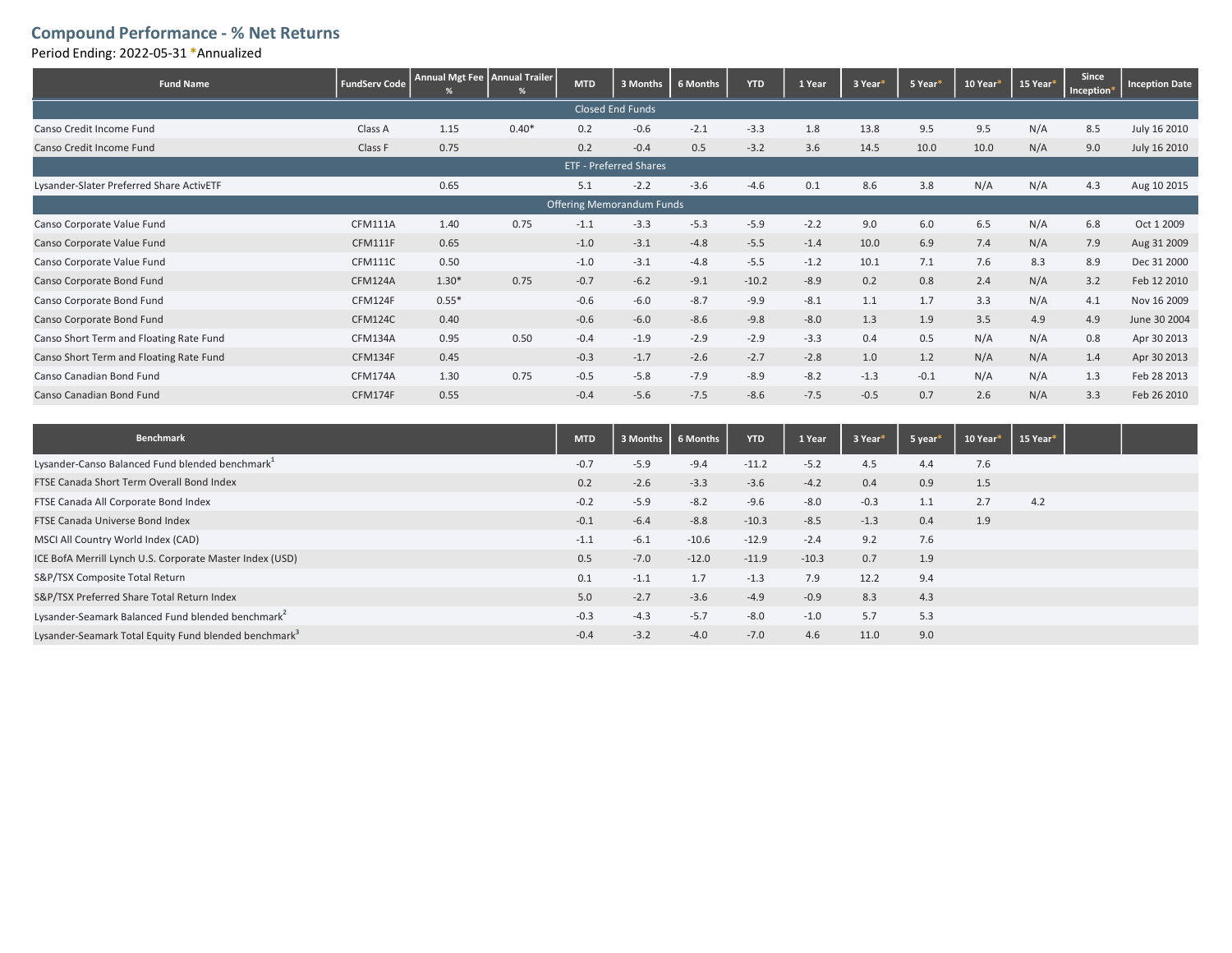## Compound Performance - % Net Returns

Period Ending: 2022-05-31 \*Annualized

| <b>Fund Name</b>                         | <b>FundServ Code</b> | Annual Mgt Fee   Annual Trailer | ℅       | <b>MTD</b> | 3 Months | 6 Months | <b>YTD</b> | 1 Year | 3 Year <sup>*</sup> | 5 Year* | 10 Year <sup>®</sup> | 15 Year <sup>*</sup> | Since<br>Inception® | <b>Inception Date</b> |
|------------------------------------------|----------------------|---------------------------------|---------|------------|----------|----------|------------|--------|---------------------|---------|----------------------|----------------------|---------------------|-----------------------|
| <b>Closed End Funds</b>                  |                      |                                 |         |            |          |          |            |        |                     |         |                      |                      |                     |                       |
| Canso Credit Income Fund                 | Class A              | 1.15                            | $0.40*$ | 0.2        | $-0.6$   | $-2.1$   | $-3.3$     | 1.8    | 13.8                | 9.5     | 9.5                  | N/A                  | 8.5                 | July 16 2010          |
| Canso Credit Income Fund                 | Class F              | 0.75                            |         | 0.2        | $-0.4$   | 0.5      | $-3.2$     | 3.6    | 14.5                | 10.0    | 10.0                 | N/A                  | 9.0                 | July 16 2010          |
| <b>ETF - Preferred Shares</b>            |                      |                                 |         |            |          |          |            |        |                     |         |                      |                      |                     |                       |
| Lysander-Slater Preferred Share ActivETF |                      | 0.65                            |         | 5.1        | $-2.2$   | $-3.6$   | $-4.6$     | 0.1    | 8.6                 | 3.8     | N/A                  | N/A                  | 4.3                 | Aug 10 2015           |
| <b>Offering Memorandum Funds</b>         |                      |                                 |         |            |          |          |            |        |                     |         |                      |                      |                     |                       |
| Canso Corporate Value Fund               | CFM111A              | 1.40                            | 0.75    | $-1.1$     | $-3.3$   | $-5.3$   | $-5.9$     | $-2.2$ | 9.0                 | 6.0     | 6.5                  | N/A                  | 6.8                 | Oct 1 2009            |
| Canso Corporate Value Fund               | CFM111F              | 0.65                            |         | $-1.0$     | $-3.1$   | $-4.8$   | $-5.5$     | $-1.4$ | 10.0                | 6.9     | 7.4                  | N/A                  | 7.9                 | Aug 31 2009           |
| Canso Corporate Value Fund               | <b>CFM111C</b>       | 0.50                            |         | $-1.0$     | $-3.1$   | $-4.8$   | $-5.5$     | $-1.2$ | 10.1                | 7.1     | 7.6                  | 8.3                  | 8.9                 | Dec 31 2000           |
| Canso Corporate Bond Fund                | CFM124A              | $1.30*$                         | 0.75    | $-0.7$     | $-6.2$   | $-9.1$   | $-10.2$    | $-8.9$ | 0.2                 | 0.8     | 2.4                  | N/A                  | 3.2                 | Feb 12 2010           |
| Canso Corporate Bond Fund                | CFM124F              | $0.55*$                         |         | $-0.6$     | $-6.0$   | $-8.7$   | $-9.9$     | $-8.1$ | 1.1                 | 1.7     | 3.3                  | N/A                  | 4.1                 | Nov 16 2009           |
| Canso Corporate Bond Fund                | <b>CFM124C</b>       | 0.40                            |         | $-0.6$     | $-6.0$   | $-8.6$   | $-9.8$     | $-8.0$ | 1.3                 | 1.9     | 3.5                  | 4.9                  | 4.9                 | June 30 2004          |
| Canso Short Term and Floating Rate Fund  | CFM134A              | 0.95                            | 0.50    | $-0.4$     | $-1.9$   | $-2.9$   | $-2.9$     | $-3.3$ | 0.4                 | 0.5     | N/A                  | N/A                  | 0.8                 | Apr 30 2013           |
| Canso Short Term and Floating Rate Fund  | CFM134F              | 0.45                            |         | $-0.3$     | $-1.7$   | $-2.6$   | $-2.7$     | $-2.8$ | 1.0                 | 1.2     | N/A                  | N/A                  | 1.4                 | Apr 30 2013           |
| Canso Canadian Bond Fund                 | CFM174A              | 1.30                            | 0.75    | $-0.5$     | $-5.8$   | $-7.9$   | $-8.9$     | $-8.2$ | $-1.3$              | $-0.1$  | N/A                  | N/A                  | 1.3                 | Feb 28 2013           |
| Canso Canadian Bond Fund                 | CFM174F              | 0.55                            |         | $-0.4$     | $-5.6$   | $-7.5$   | $-8.6$     | $-7.5$ | $-0.5$              | 0.7     | 2.6                  | N/A                  | 3.3                 | Feb 26 2010           |

| Benchmark                                                         | <b>MTD</b> |        | 3 Months   6 Months | <b>YTD</b> | 1 Year  | 3 Year* | 5 year* | 10 Year | 15 Year* |  |
|-------------------------------------------------------------------|------------|--------|---------------------|------------|---------|---------|---------|---------|----------|--|
| Lysander-Canso Balanced Fund blended benchmark <sup>1</sup>       | $-0.7$     | $-5.9$ | $-9.4$              | $-11.2$    | $-5.2$  | 4.5     | 4.4     | 7.6     |          |  |
| FTSE Canada Short Term Overall Bond Index                         | 0.2        | $-2.6$ | $-3.3$              | $-3.6$     | $-4.2$  | 0.4     | 0.9     | 1.5     |          |  |
| FTSE Canada All Corporate Bond Index                              | $-0.2$     | $-5.9$ | $-8.2$              | $-9.6$     | $-8.0$  | $-0.3$  | 1.1     | 2.7     | 4.2      |  |
| FTSE Canada Universe Bond Index                                   | $-0.1$     | $-6.4$ | $-8.8$              | $-10.3$    | $-8.5$  | $-1.3$  | 0.4     | 1.9     |          |  |
| MSCI All Country World Index (CAD)                                | $-1.1$     | $-6.1$ | $-10.6$             | $-12.9$    | $-2.4$  | 9.2     | 7.6     |         |          |  |
| ICE BofA Merrill Lynch U.S. Corporate Master Index (USD)          | 0.5        | $-7.0$ | $-12.0$             | $-11.9$    | $-10.3$ | 0.7     | 1.9     |         |          |  |
| S&P/TSX Composite Total Return                                    | 0.1        | $-1.1$ | 1.7                 | $-1.3$     | 7.9     | 12.2    | 9.4     |         |          |  |
| S&P/TSX Preferred Share Total Return Index                        | 5.0        | $-2.7$ | $-3.6$              | $-4.9$     | $-0.9$  | 8.3     | 4.3     |         |          |  |
| Lysander-Seamark Balanced Fund blended benchmark                  | $-0.3$     | $-4.3$ | $-5.7$              | $-8.0$     | $-1.0$  | 5.7     | 5.3     |         |          |  |
| Lysander-Seamark Total Equity Fund blended benchmark <sup>3</sup> | $-0.4$     | $-3.2$ | $-4.0$              | $-7.0$     | 4.6     | 11.0    | 9.0     |         |          |  |